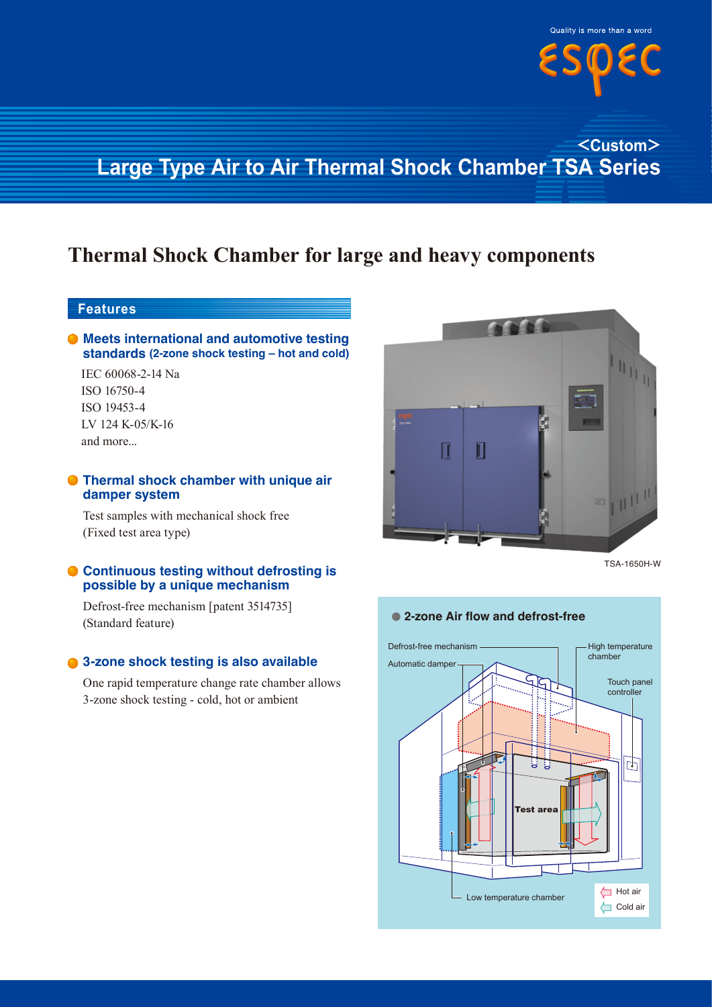

## **<Custom> Large Type Air to Air Thermal Shock Chamber TSA Series**

# **Thermal Shock Chamber for large and heavy components**

### **Features**

#### **Meets international and automotive testing standards (2-zone shock testing – hot and cold)**

IEC 60068-2-14 Na ISO 16750-4 ISO 19453-4 LV 124 K-05/K-16 and more...

#### **Thermal shock chamber with unique air damper system**

Test samples with mechanical shock free (Fixed test area type)

#### **Continuous testing without defrosting is possible by a unique mechanism**

Defrost-free mechanism [patent 3514735] (Standard feature)

#### **3-zone shock testing is also available**

One rapid temperature change rate chamber allows 3-zone shock testing - cold, hot or ambient



TSA-1650H-W



#### ● 2-zone Air flow and defrost-free